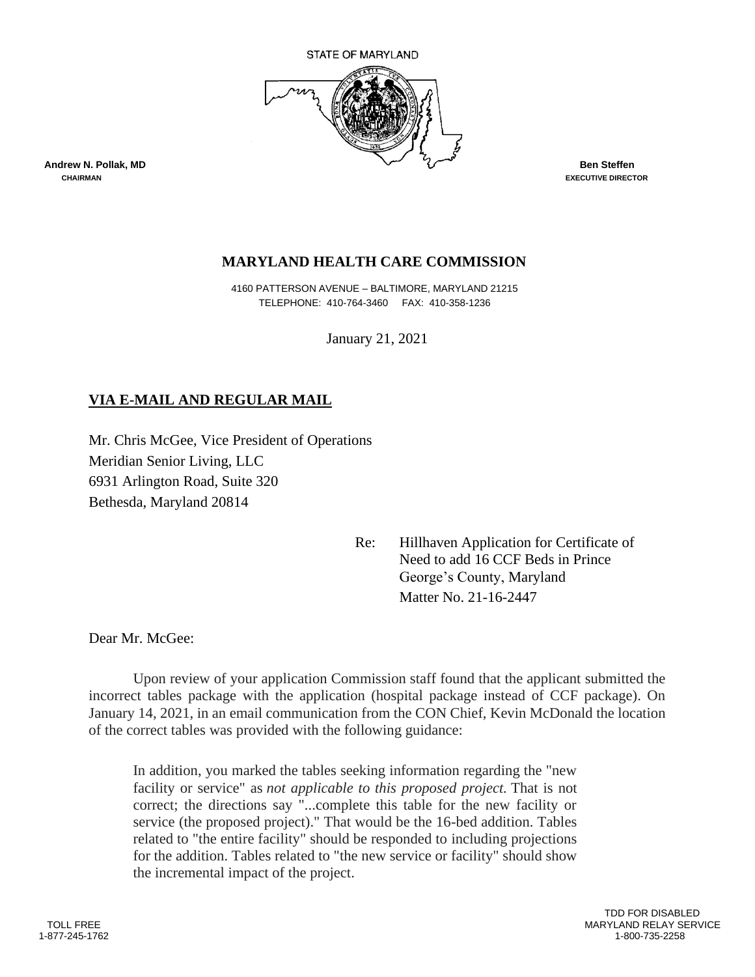

## **MARYLAND HEALTH CARE COMMISSION**

 4160 PATTERSON AVENUE – BALTIMORE, MARYLAND 21215 TELEPHONE: 410-764-3460 FAX: 410-358-1236

January 21, 2021

# **VIA E-MAIL AND REGULAR MAIL**

Mr. Chris McGee, Vice President of Operations Meridian Senior Living, LLC 6931 Arlington Road, Suite 320 Bethesda, Maryland 20814

> Re: Hillhaven Application for Certificate of Need to add 16 CCF Beds in Prince George's County, Maryland Matter No. 21-16-2447

Dear Mr. McGee:

Upon review of your application Commission staff found that the applicant submitted the incorrect tables package with the application (hospital package instead of CCF package). On January 14, 2021, in an email communication from the CON Chief, Kevin McDonald the location of the correct tables was provided with the following guidance:

In addition, you marked the tables seeking information regarding the "new facility or service" as *not applicable to this proposed project.* That is not correct; the directions say "...complete this table for the new facility or service (the proposed project)." That would be the 16-bed addition. Tables related to "the entire facility" should be responded to including projections for the addition. Tables related to "the new service or facility" should show the incremental impact of the project.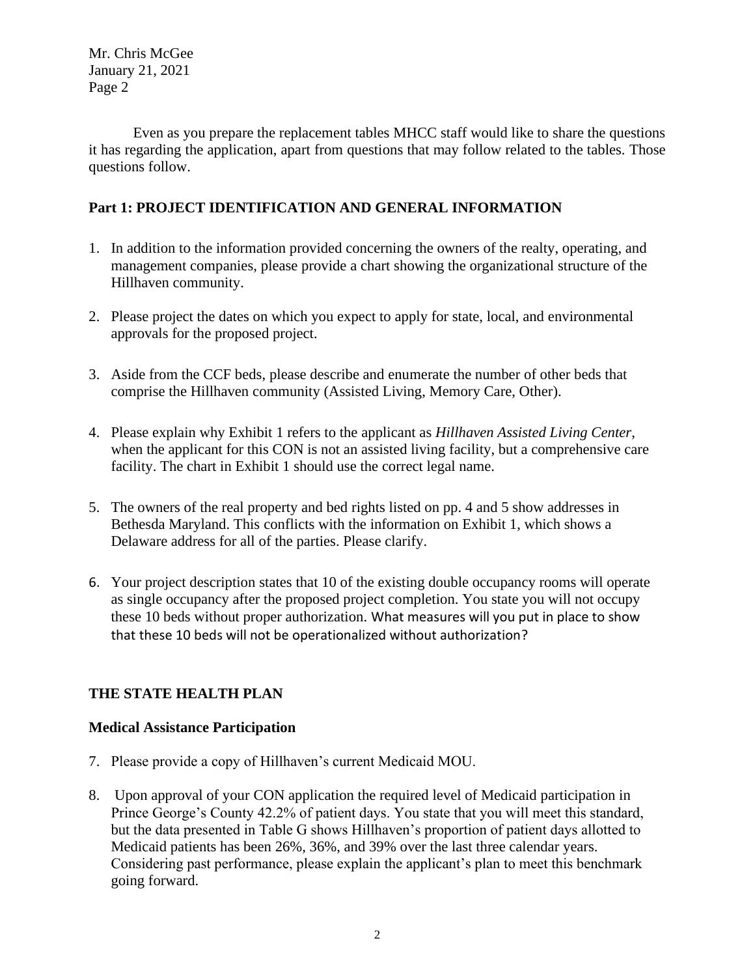Even as you prepare the replacement tables MHCC staff would like to share the questions it has regarding the application, apart from questions that may follow related to the tables. Those questions follow.

## **Part 1: PROJECT IDENTIFICATION AND GENERAL INFORMATION**

- 1. In addition to the information provided concerning the owners of the realty, operating, and management companies, please provide a chart showing the organizational structure of the Hillhaven community.
- 2. Please project the dates on which you expect to apply for state, local, and environmental approvals for the proposed project.
- 3. Aside from the CCF beds, please describe and enumerate the number of other beds that comprise the Hillhaven community (Assisted Living, Memory Care, Other).
- 4. Please explain why Exhibit 1 refers to the applicant as *Hillhaven Assisted Living Center*, when the applicant for this CON is not an assisted living facility, but a comprehensive care facility. The chart in Exhibit 1 should use the correct legal name.
- 5. The owners of the real property and bed rights listed on pp. 4 and 5 show addresses in Bethesda Maryland. This conflicts with the information on Exhibit 1, which shows a Delaware address for all of the parties. Please clarify.
- 6. Your project description states that 10 of the existing double occupancy rooms will operate as single occupancy after the proposed project completion. You state you will not occupy these 10 beds without proper authorization. What measures will you put in place to show that these 10 beds will not be operationalized without authorization?

## **THE STATE HEALTH PLAN**

## **Medical Assistance Participation**

- 7. Please provide a copy of Hillhaven's current Medicaid MOU.
- 8. Upon approval of your CON application the required level of Medicaid participation in Prince George's County 42.2% of patient days. You state that you will meet this standard, but the data presented in Table G shows Hillhaven's proportion of patient days allotted to Medicaid patients has been 26%, 36%, and 39% over the last three calendar years. Considering past performance, please explain the applicant's plan to meet this benchmark going forward.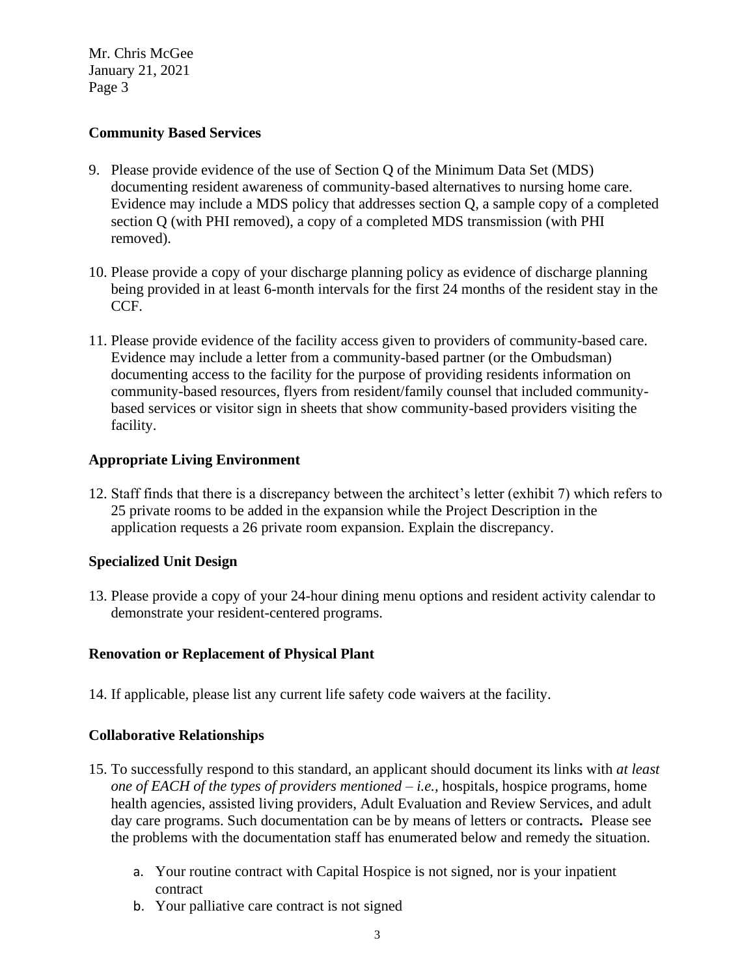### **Community Based Services**

- 9. Please provide evidence of the use of Section Q of the Minimum Data Set (MDS) documenting resident awareness of community-based alternatives to nursing home care. Evidence may include a MDS policy that addresses section Q, a sample copy of a completed section Q (with PHI removed), a copy of a completed MDS transmission (with PHI removed).
- 10. Please provide a copy of your discharge planning policy as evidence of discharge planning being provided in at least 6-month intervals for the first 24 months of the resident stay in the CCF.
- 11. Please provide evidence of the facility access given to providers of community-based care. Evidence may include a letter from a community-based partner (or the Ombudsman) documenting access to the facility for the purpose of providing residents information on community-based resources, flyers from resident/family counsel that included communitybased services or visitor sign in sheets that show community-based providers visiting the facility.

#### **Appropriate Living Environment**

12. Staff finds that there is a discrepancy between the architect's letter (exhibit 7) which refers to 25 private rooms to be added in the expansion while the Project Description in the application requests a 26 private room expansion. Explain the discrepancy.

#### **Specialized Unit Design**

13. Please provide a copy of your 24-hour dining menu options and resident activity calendar to demonstrate your resident-centered programs.

## **Renovation or Replacement of Physical Plant**

14. If applicable, please list any current life safety code waivers at the facility.

#### **Collaborative Relationships**

- 15. To successfully respond to this standard, an applicant should document its links with *at least one of EACH of the types of providers mentioned – i.e.,* hospitals, hospice programs, home health agencies, assisted living providers, Adult Evaluation and Review Services, and adult day care programs. Such documentation can be by means of letters or contracts*.* Please see the problems with the documentation staff has enumerated below and remedy the situation.
	- a. Your routine contract with Capital Hospice is not signed, nor is your inpatient contract
	- b. Your palliative care contract is not signed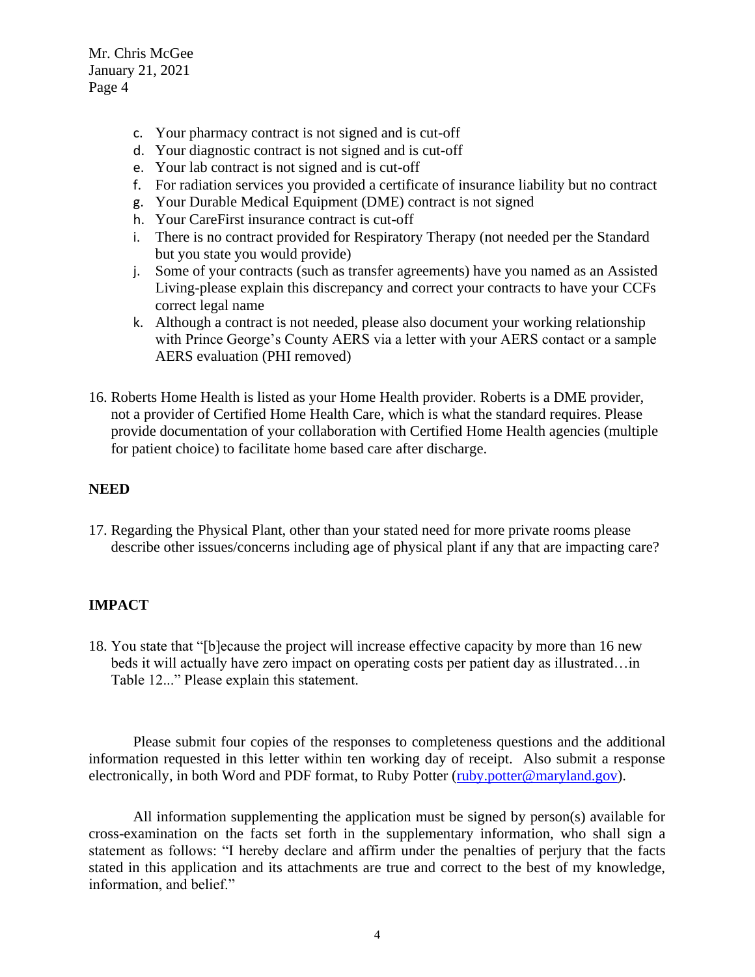- c. Your pharmacy contract is not signed and is cut-off
- d. Your diagnostic contract is not signed and is cut-off
- e. Your lab contract is not signed and is cut-off
- f. For radiation services you provided a certificate of insurance liability but no contract
- g. Your Durable Medical Equipment (DME) contract is not signed
- h. Your CareFirst insurance contract is cut-off
- i. There is no contract provided for Respiratory Therapy (not needed per the Standard but you state you would provide)
- j. Some of your contracts (such as transfer agreements) have you named as an Assisted Living-please explain this discrepancy and correct your contracts to have your CCFs correct legal name
- k. Although a contract is not needed, please also document your working relationship with Prince George's County AERS via a letter with your AERS contact or a sample AERS evaluation (PHI removed)
- 16. Roberts Home Health is listed as your Home Health provider. Roberts is a DME provider, not a provider of Certified Home Health Care, which is what the standard requires. Please provide documentation of your collaboration with Certified Home Health agencies (multiple for patient choice) to facilitate home based care after discharge.

#### **NEED**

17. Regarding the Physical Plant, other than your stated need for more private rooms please describe other issues/concerns including age of physical plant if any that are impacting care?

## **IMPACT**

18. You state that "[b]ecause the project will increase effective capacity by more than 16 new beds it will actually have zero impact on operating costs per patient day as illustrated…in Table 12..." Please explain this statement.

Please submit four copies of the responses to completeness questions and the additional information requested in this letter within ten working day of receipt. Also submit a response electronically, in both Word and PDF format, to Ruby Potter [\(ruby.potter@maryland.gov\)](mailto:ruby.potter@maryland.gov).

All information supplementing the application must be signed by person(s) available for cross-examination on the facts set forth in the supplementary information, who shall sign a statement as follows: "I hereby declare and affirm under the penalties of perjury that the facts stated in this application and its attachments are true and correct to the best of my knowledge, information, and belief."